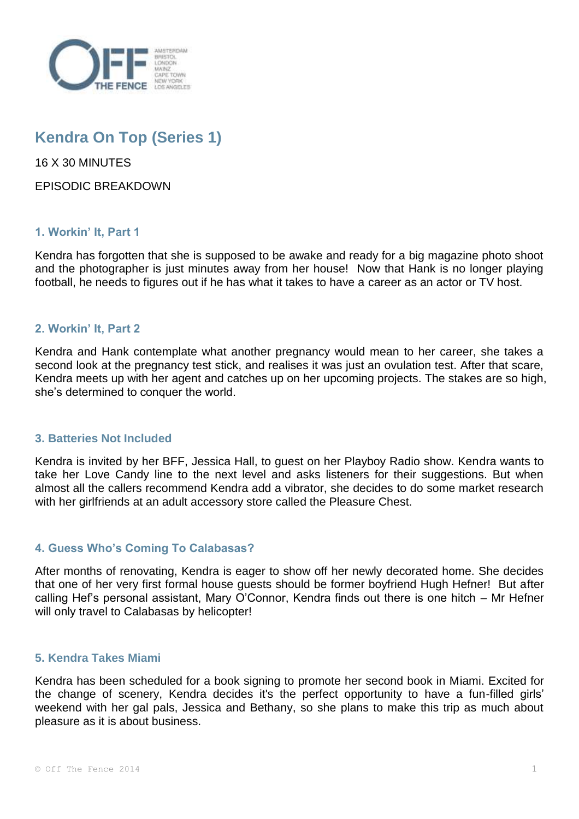

# **Kendra On Top (Series 1)**

16 X 30 MINUTES

EPISODIC BREAKDOWN

## **1. Workin' It, Part 1**

Kendra has forgotten that she is supposed to be awake and ready for a big magazine photo shoot and the photographer is just minutes away from her house! Now that Hank is no longer playing football, he needs to figures out if he has what it takes to have a career as an actor or TV host.

## **2. Workin' It, Part 2**

Kendra and Hank contemplate what another pregnancy would mean to her career, she takes a second look at the pregnancy test stick, and realises it was just an ovulation test. After that scare, Kendra meets up with her agent and catches up on her upcoming projects. The stakes are so high, she's determined to conquer the world.

### **3. Batteries Not Included**

Kendra is invited by her BFF, Jessica Hall, to guest on her Playboy Radio show. Kendra wants to take her Love Candy line to the next level and asks listeners for their suggestions. But when almost all the callers recommend Kendra add a vibrator, she decides to do some market research with her girlfriends at an adult accessory store called the Pleasure Chest.

### **4. Guess Who's Coming To Calabasas?**

After months of renovating, Kendra is eager to show off her newly decorated home. She decides that one of her very first formal house guests should be former boyfriend Hugh Hefner! But after calling Hef's personal assistant, Mary O'Connor, Kendra finds out there is one hitch – Mr Hefner will only travel to Calabasas by helicopter!

### **5. Kendra Takes Miami**

Kendra has been scheduled for a book signing to promote her second book in Miami. Excited for the change of scenery, Kendra decides it's the perfect opportunity to have a fun-filled girls' weekend with her gal pals, Jessica and Bethany, so she plans to make this trip as much about pleasure as it is about business.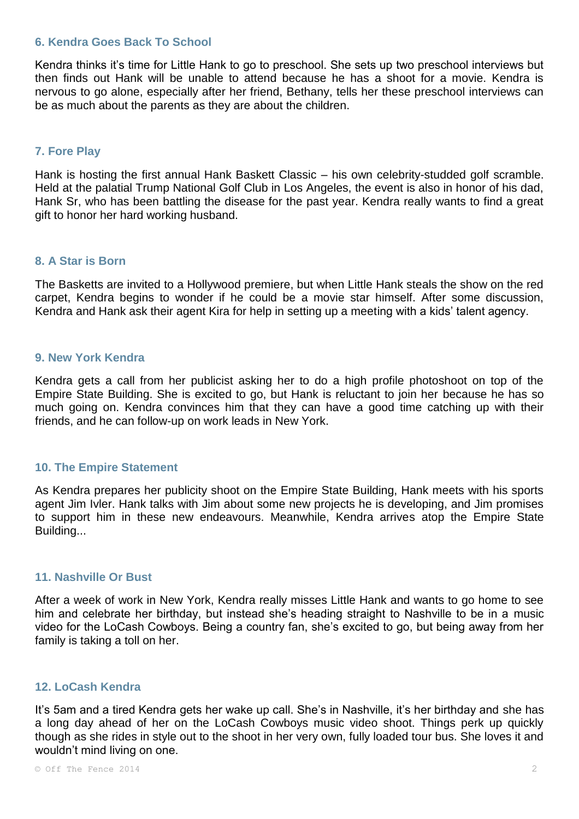#### **6. Kendra Goes Back To School**

Kendra thinks it's time for Little Hank to go to preschool. She sets up two preschool interviews but then finds out Hank will be unable to attend because he has a shoot for a movie. Kendra is nervous to go alone, especially after her friend, Bethany, tells her these preschool interviews can be as much about the parents as they are about the children.

## **7. Fore Play**

Hank is hosting the first annual Hank Baskett Classic – his own celebrity-studded golf scramble. Held at the palatial Trump National Golf Club in Los Angeles, the event is also in honor of his dad, Hank Sr, who has been battling the disease for the past year. Kendra really wants to find a great gift to honor her hard working husband.

#### **8. A Star is Born**

The Basketts are invited to a Hollywood premiere, but when Little Hank steals the show on the red carpet, Kendra begins to wonder if he could be a movie star himself. After some discussion, Kendra and Hank ask their agent Kira for help in setting up a meeting with a kids' talent agency.

#### **9. New York Kendra**

Kendra gets a call from her publicist asking her to do a high profile photoshoot on top of the Empire State Building. She is excited to go, but Hank is reluctant to join her because he has so much going on. Kendra convinces him that they can have a good time catching up with their friends, and he can follow-up on work leads in New York.

### **10. The Empire Statement**

As Kendra prepares her publicity shoot on the Empire State Building, Hank meets with his sports agent Jim Ivler. Hank talks with Jim about some new projects he is developing, and Jim promises to support him in these new endeavours. Meanwhile, Kendra arrives atop the Empire State Building...

## **11. Nashville Or Bust**

After a week of work in New York, Kendra really misses Little Hank and wants to go home to see him and celebrate her birthday, but instead she's heading straight to Nashville to be in a music video for the LoCash Cowboys. Being a country fan, she's excited to go, but being away from her family is taking a toll on her.

## **12. LoCash Kendra**

It's 5am and a tired Kendra gets her wake up call. She's in Nashville, it's her birthday and she has a long day ahead of her on the LoCash Cowboys music video shoot. Things perk up quickly though as she rides in style out to the shoot in her very own, fully loaded tour bus. She loves it and wouldn't mind living on one.